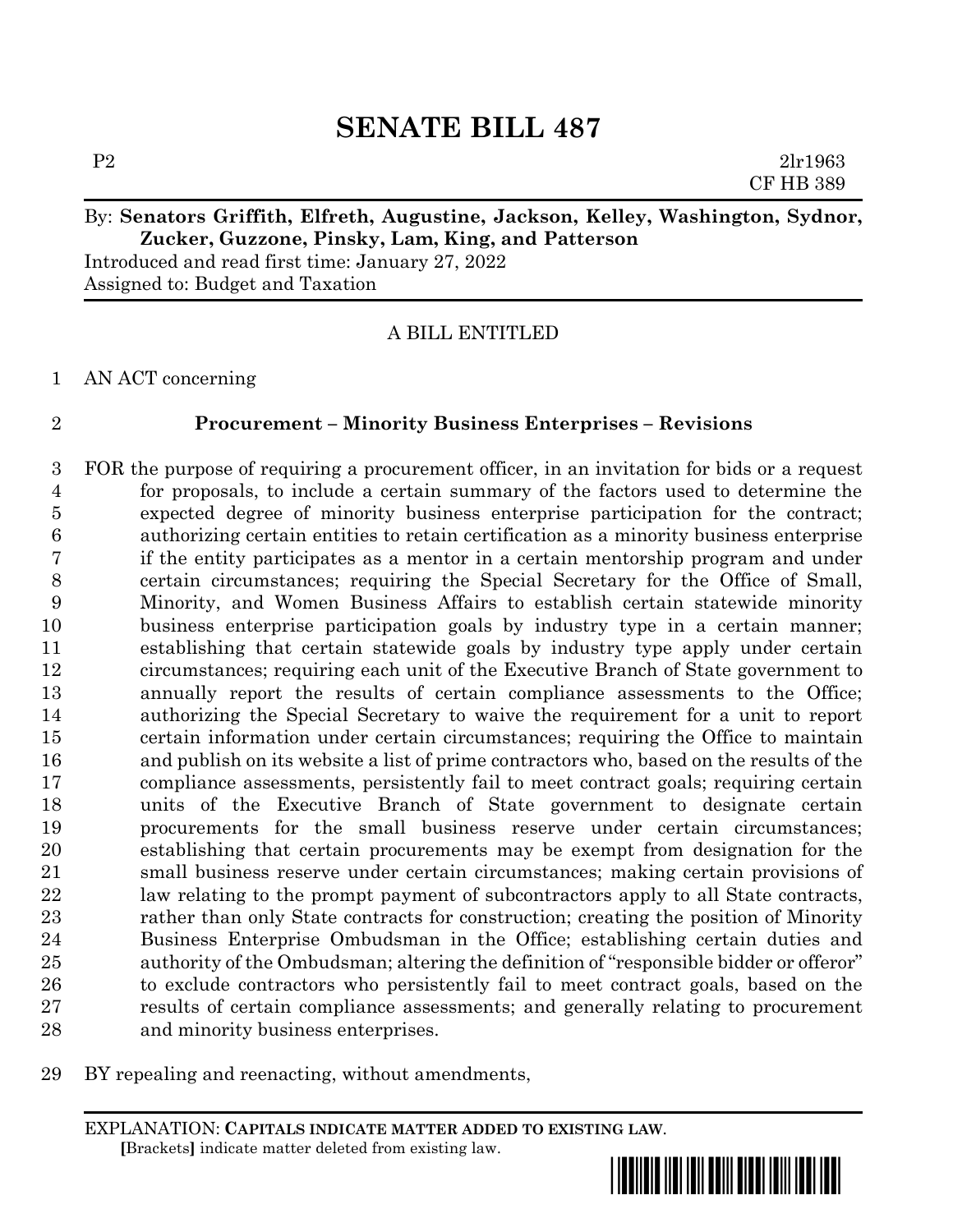# By: **Senators Griffith, Elfreth, Augustine, Jackson, Kelley, Washington, Sydnor, Zucker, Guzzone, Pinsky, Lam, King, and Patterson**

Introduced and read first time: January 27, 2022 Assigned to: Budget and Taxation

A BILL ENTITLED

AN ACT concerning

# **Procurement – Minority Business Enterprises – Revisions**

 FOR the purpose of requiring a procurement officer, in an invitation for bids or a request for proposals, to include a certain summary of the factors used to determine the expected degree of minority business enterprise participation for the contract; authorizing certain entities to retain certification as a minority business enterprise if the entity participates as a mentor in a certain mentorship program and under certain circumstances; requiring the Special Secretary for the Office of Small, Minority, and Women Business Affairs to establish certain statewide minority business enterprise participation goals by industry type in a certain manner; establishing that certain statewide goals by industry type apply under certain circumstances; requiring each unit of the Executive Branch of State government to annually report the results of certain compliance assessments to the Office; authorizing the Special Secretary to waive the requirement for a unit to report certain information under certain circumstances; requiring the Office to maintain and publish on its website a list of prime contractors who, based on the results of the compliance assessments, persistently fail to meet contract goals; requiring certain units of the Executive Branch of State government to designate certain procurements for the small business reserve under certain circumstances; establishing that certain procurements may be exempt from designation for the small business reserve under certain circumstances; making certain provisions of law relating to the prompt payment of subcontractors apply to all State contracts, rather than only State contracts for construction; creating the position of Minority Business Enterprise Ombudsman in the Office; establishing certain duties and authority of the Ombudsman; altering the definition of "responsible bidder or offeror" to exclude contractors who persistently fail to meet contract goals, based on the results of certain compliance assessments; and generally relating to procurement and minority business enterprises.

BY repealing and reenacting, without amendments,

EXPLANATION: **CAPITALS INDICATE MATTER ADDED TO EXISTING LAW**.  **[**Brackets**]** indicate matter deleted from existing law.

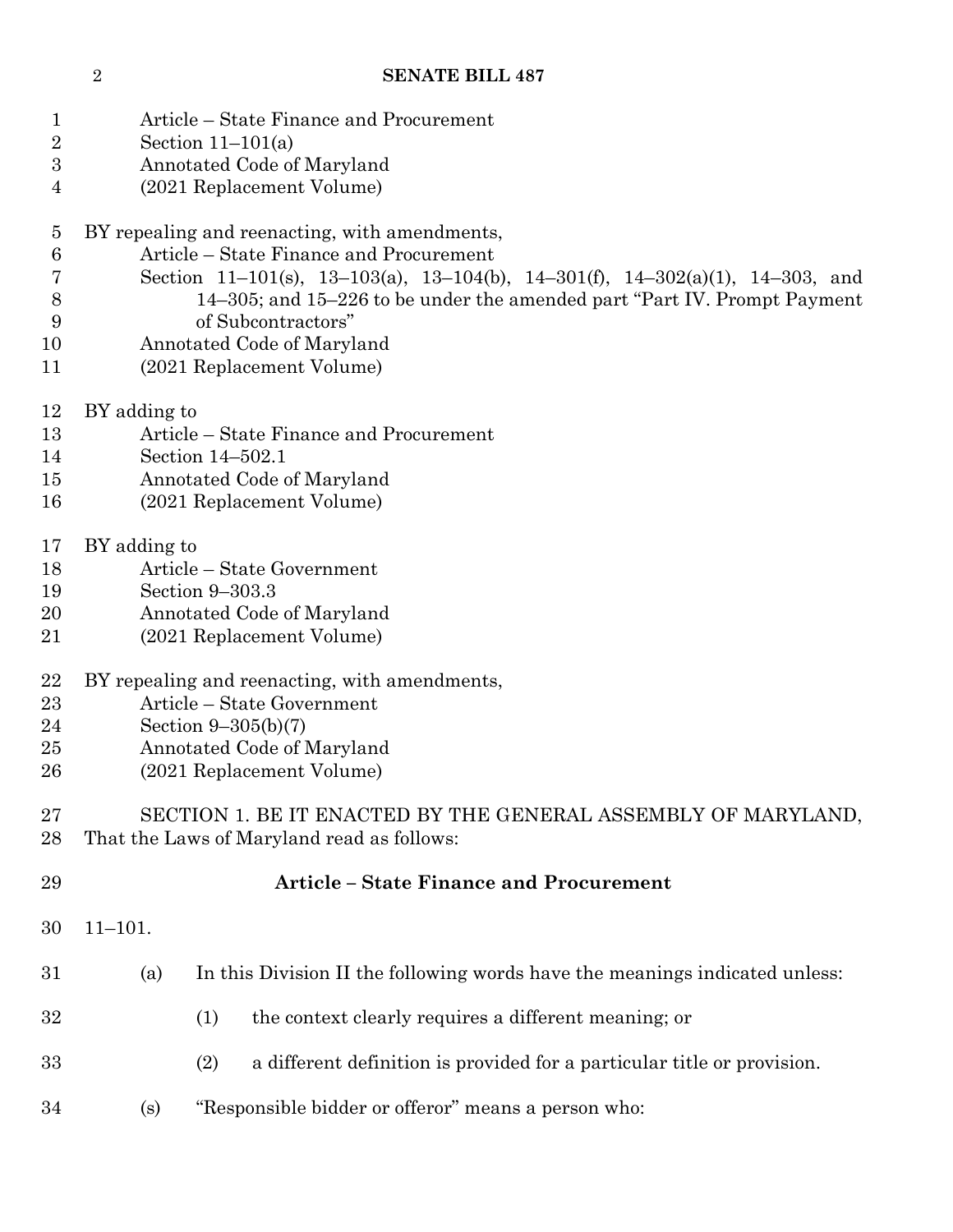- Section 11–101(a)
- Annotated Code of Maryland
- (2021 Replacement Volume)
- BY repealing and reenacting, with amendments,

Article – State Finance and Procurement

- Section 11–101(s), 13–103(a), 13–104(b), 14–301(f), 14–302(a)(1), 14–303, and 14–305; and 15–226 to be under the amended part "Part IV. Prompt Payment of Subcontractors"
- Annotated Code of Maryland
- (2021 Replacement Volume)
- BY adding to
- Article State Finance and Procurement
- Section 14–502.1
- Annotated Code of Maryland
- (2021 Replacement Volume)
- BY adding to
- Article State Government
- Section 9–303.3
- Annotated Code of Maryland
- (2021 Replacement Volume)
- BY repealing and reenacting, with amendments,
- Article State Government
- Section 9–305(b)(7)
- Annotated Code of Maryland
- (2021 Replacement Volume)

 SECTION 1. BE IT ENACTED BY THE GENERAL ASSEMBLY OF MARYLAND, That the Laws of Maryland read as follows:

- **Article – State Finance and Procurement** 11–101. (a) In this Division II the following words have the meanings indicated unless: (1) the context clearly requires a different meaning; or (2) a different definition is provided for a particular title or provision.
- (s) "Responsible bidder or offeror" means a person who: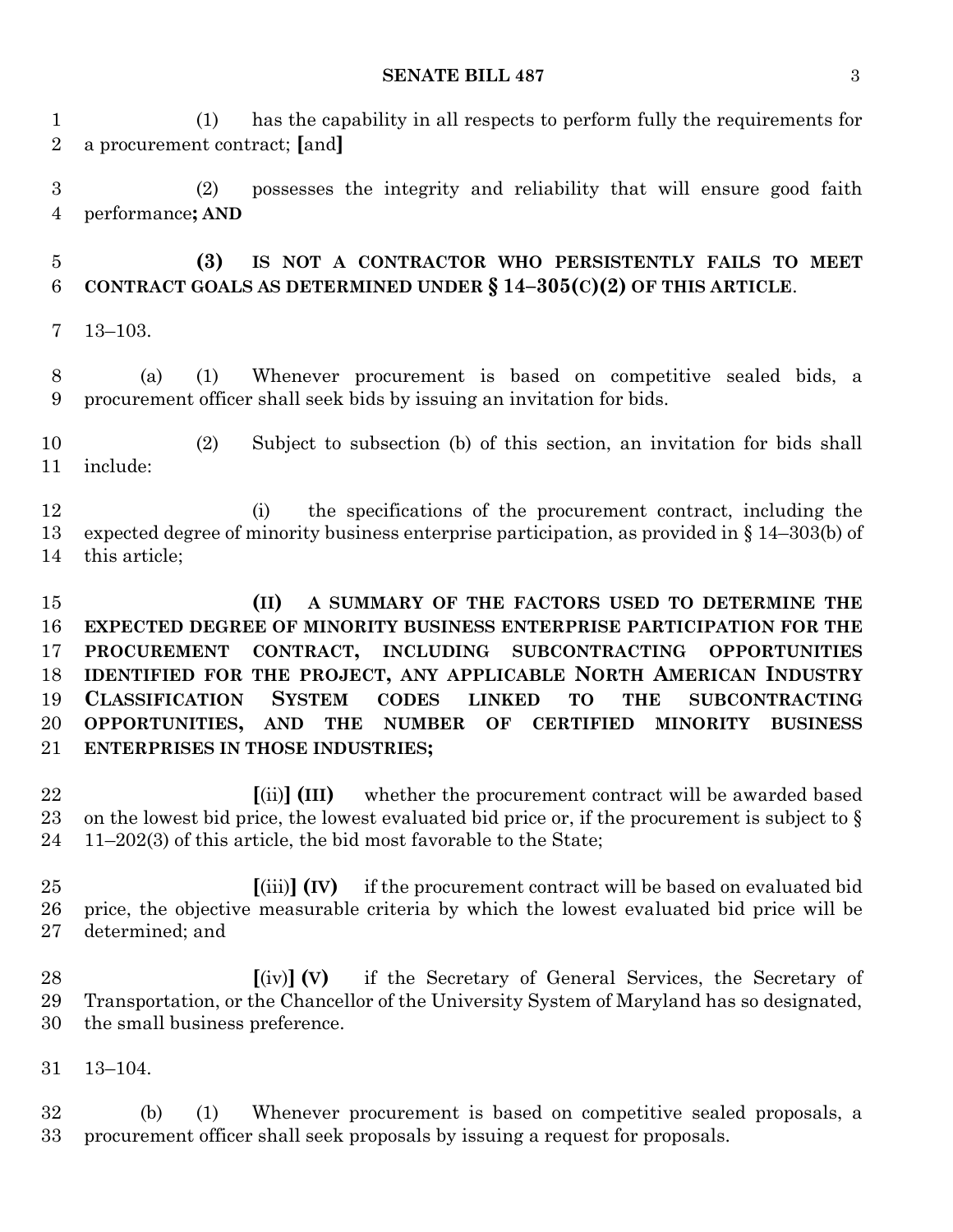(1) has the capability in all respects to perform fully the requirements for a procurement contract; **[**and**]**

 (2) possesses the integrity and reliability that will ensure good faith performance**; AND**

 **(3) IS NOT A CONTRACTOR WHO PERSISTENTLY FAILS TO MEET CONTRACT GOALS AS DETERMINED UNDER § 14–305(C)(2) OF THIS ARTICLE**.

13–103.

 (a) (1) Whenever procurement is based on competitive sealed bids, a procurement officer shall seek bids by issuing an invitation for bids.

 (2) Subject to subsection (b) of this section, an invitation for bids shall include:

 (i) the specifications of the procurement contract, including the expected degree of minority business enterprise participation, as provided in § 14–303(b) of this article;

 **(II) A SUMMARY OF THE FACTORS USED TO DETERMINE THE EXPECTED DEGREE OF MINORITY BUSINESS ENTERPRISE PARTICIPATION FOR THE PROCUREMENT CONTRACT, INCLUDING SUBCONTRACTING OPPORTUNITIES IDENTIFIED FOR THE PROJECT, ANY APPLICABLE NORTH AMERICAN INDUSTRY CLASSIFICATION SYSTEM CODES LINKED TO THE SUBCONTRACTING OPPORTUNITIES, AND THE NUMBER OF CERTIFIED MINORITY BUSINESS ENTERPRISES IN THOSE INDUSTRIES;**

 **[**(ii)**] (III)** whether the procurement contract will be awarded based 23 on the lowest bid price, the lowest evaluated bid price or, if the procurement is subject to  $\S$ 11–202(3) of this article, the bid most favorable to the State;

 **[**(iii)**] (IV)** if the procurement contract will be based on evaluated bid price, the objective measurable criteria by which the lowest evaluated bid price will be determined; and

 **[**(iv)**] (V)** if the Secretary of General Services, the Secretary of Transportation, or the Chancellor of the University System of Maryland has so designated, the small business preference.

13–104.

 (b) (1) Whenever procurement is based on competitive sealed proposals, a procurement officer shall seek proposals by issuing a request for proposals.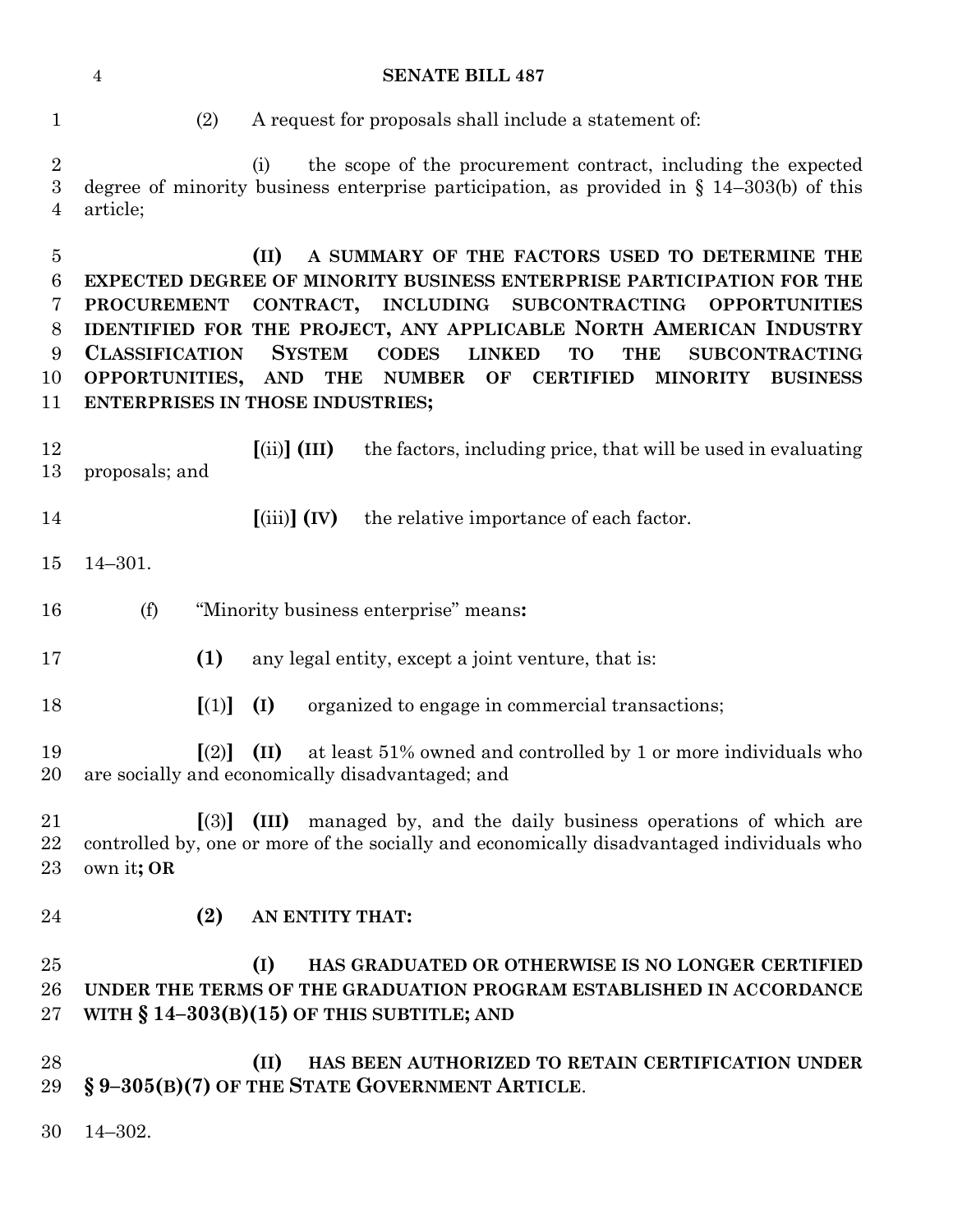- 
- (2) A request for proposals shall include a statement of:

 (i) the scope of the procurement contract, including the expected degree of minority business enterprise participation, as provided in § 14–303(b) of this article;

 **(II) A SUMMARY OF THE FACTORS USED TO DETERMINE THE EXPECTED DEGREE OF MINORITY BUSINESS ENTERPRISE PARTICIPATION FOR THE PROCUREMENT CONTRACT, INCLUDING SUBCONTRACTING OPPORTUNITIES IDENTIFIED FOR THE PROJECT, ANY APPLICABLE NORTH AMERICAN INDUSTRY CLASSIFICATION SYSTEM CODES LINKED TO THE SUBCONTRACTING OPPORTUNITIES, AND THE NUMBER OF CERTIFIED MINORITY BUSINESS ENTERPRISES IN THOSE INDUSTRIES;**

- **[**(ii)**] (III)** the factors, including price, that will be used in evaluating proposals; and
- **[**(iii)**] (IV)** the relative importance of each factor.
- 14–301.
- (f) "Minority business enterprise" means**:**
- **(1)** any legal entity, except a joint venture, that is:
- **[**(1)**] (I)** organized to engage in commercial transactions;

 **[**(2)**] (II)** at least 51% owned and controlled by 1 or more individuals who are socially and economically disadvantaged; and

 **[**(3)**] (III)** managed by, and the daily business operations of which are controlled by, one or more of the socially and economically disadvantaged individuals who own it**; OR**

**(2) AN ENTITY THAT:**

# **(I) HAS GRADUATED OR OTHERWISE IS NO LONGER CERTIFIED UNDER THE TERMS OF THE GRADUATION PROGRAM ESTABLISHED IN ACCORDANCE WITH § 14–303(B)(15) OF THIS SUBTITLE; AND**

- **(II) HAS BEEN AUTHORIZED TO RETAIN CERTIFICATION UNDER § 9–305(B)(7) OF THE STATE GOVERNMENT ARTICLE**.
- 14–302.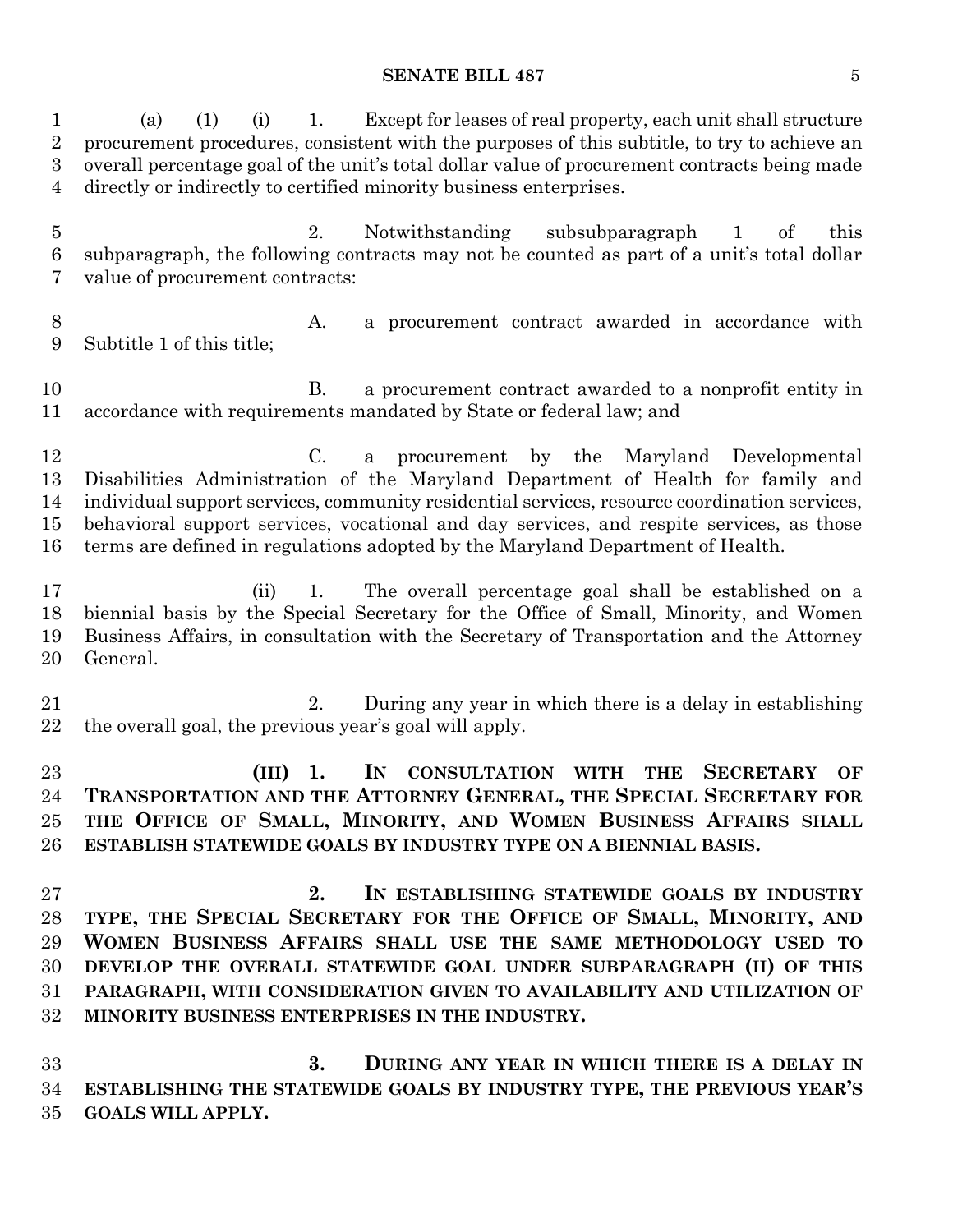(a) (1) (i) 1. Except for leases of real property, each unit shall structure procurement procedures, consistent with the purposes of this subtitle, to try to achieve an overall percentage goal of the unit's total dollar value of procurement contracts being made directly or indirectly to certified minority business enterprises. 2. Notwithstanding subsubparagraph 1 of this subparagraph, the following contracts may not be counted as part of a unit's total dollar value of procurement contracts: 8 A. a procurement contract awarded in accordance with Subtitle 1 of this title; B. a procurement contract awarded to a nonprofit entity in accordance with requirements mandated by State or federal law; and C. a procurement by the Maryland Developmental Disabilities Administration of the Maryland Department of Health for family and individual support services, community residential services, resource coordination services, behavioral support services, vocational and day services, and respite services, as those terms are defined in regulations adopted by the Maryland Department of Health. (ii) 1. The overall percentage goal shall be established on a biennial basis by the Special Secretary for the Office of Small, Minority, and Women Business Affairs, in consultation with the Secretary of Transportation and the Attorney General. 2. During any year in which there is a delay in establishing the overall goal, the previous year's goal will apply. **(III) 1. IN CONSULTATION WITH THE SECRETARY OF TRANSPORTATION AND THE ATTORNEY GENERAL, THE SPECIAL SECRETARY FOR THE OFFICE OF SMALL, MINORITY, AND WOMEN BUSINESS AFFAIRS SHALL ESTABLISH STATEWIDE GOALS BY INDUSTRY TYPE ON A BIENNIAL BASIS. 2. IN ESTABLISHING STATEWIDE GOALS BY INDUSTRY TYPE, THE SPECIAL SECRETARY FOR THE OFFICE OF SMALL, MINORITY, AND WOMEN BUSINESS AFFAIRS SHALL USE THE SAME METHODOLOGY USED TO DEVELOP THE OVERALL STATEWIDE GOAL UNDER SUBPARAGRAPH (II) OF THIS PARAGRAPH, WITH CONSIDERATION GIVEN TO AVAILABILITY AND UTILIZATION OF MINORITY BUSINESS ENTERPRISES IN THE INDUSTRY. 3. DURING ANY YEAR IN WHICH THERE IS A DELAY IN ESTABLISHING THE STATEWIDE GOALS BY INDUSTRY TYPE, THE PREVIOUS YEAR'S GOALS WILL APPLY.**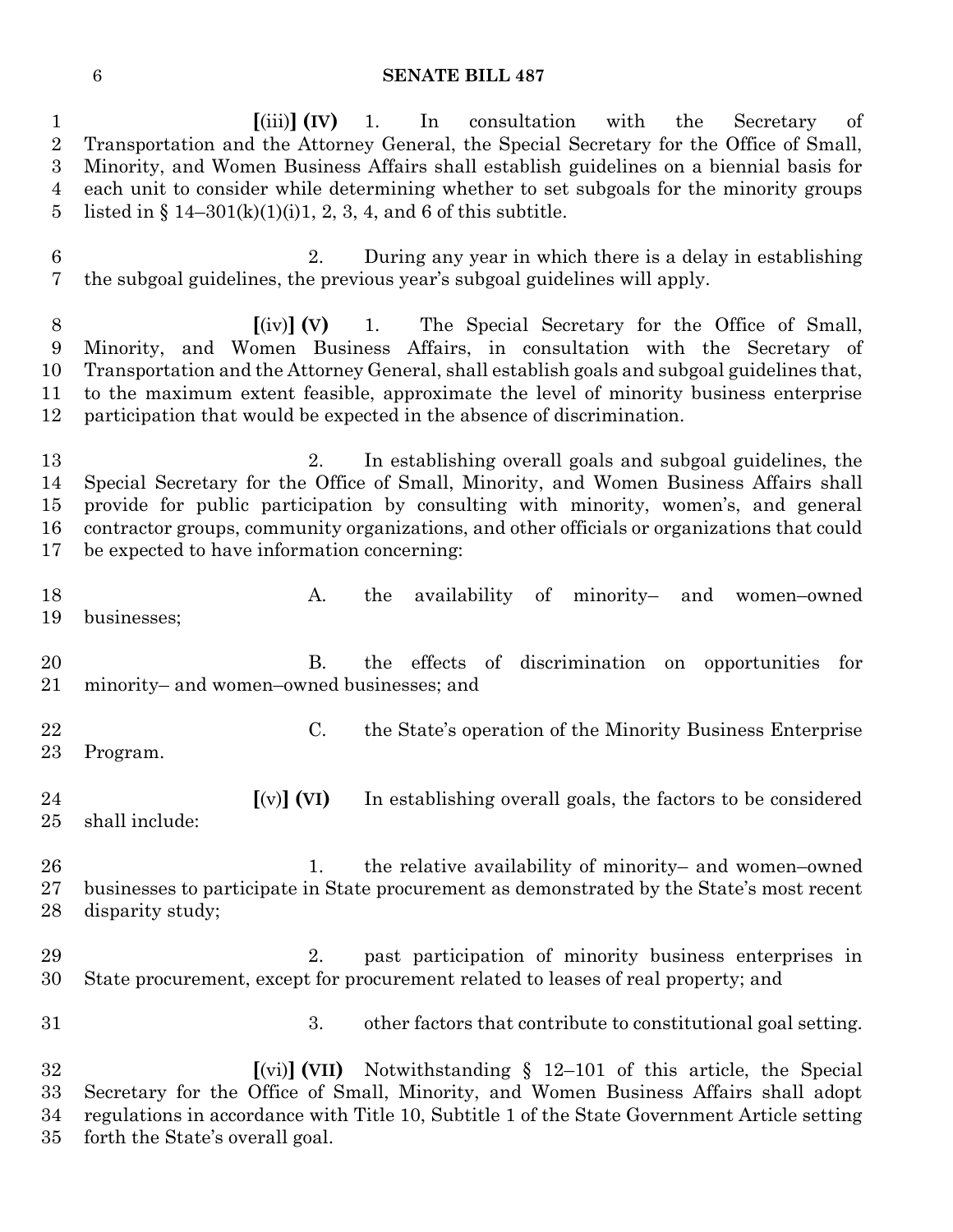**[**(iii)**] (IV)** 1. In consultation with the Secretary of Transportation and the Attorney General, the Special Secretary for the Office of Small, Minority, and Women Business Affairs shall establish guidelines on a biennial basis for each unit to consider while determining whether to set subgoals for the minority groups 5 listed in  $\S 14-301(k)(1)(i)1, 2, 3, 4$ , and 6 of this subtitle.

 2. During any year in which there is a delay in establishing the subgoal guidelines, the previous year's subgoal guidelines will apply.

 **[**(iv)**] (V)** 1. The Special Secretary for the Office of Small, Minority, and Women Business Affairs, in consultation with the Secretary of Transportation and the Attorney General, shall establish goals and subgoal guidelines that, to the maximum extent feasible, approximate the level of minority business enterprise participation that would be expected in the absence of discrimination.

 2. In establishing overall goals and subgoal guidelines, the Special Secretary for the Office of Small, Minority, and Women Business Affairs shall provide for public participation by consulting with minority, women's, and general contractor groups, community organizations, and other officials or organizations that could be expected to have information concerning:

- 18 A. the availability of minority- and women-owned businesses;
- B. the effects of discrimination on opportunities for minority– and women–owned businesses; and
- 

 C. the State's operation of the Minority Business Enterprise Program.

 **[**(v)**] (VI)** In establishing overall goals, the factors to be considered shall include:

 1. the relative availability of minority– and women–owned businesses to participate in State procurement as demonstrated by the State's most recent disparity study;

 2. past participation of minority business enterprises in State procurement, except for procurement related to leases of real property; and

3. other factors that contribute to constitutional goal setting.

 **[**(vi)**] (VII)** Notwithstanding § 12–101 of this article, the Special Secretary for the Office of Small, Minority, and Women Business Affairs shall adopt regulations in accordance with Title 10, Subtitle 1 of the State Government Article setting forth the State's overall goal.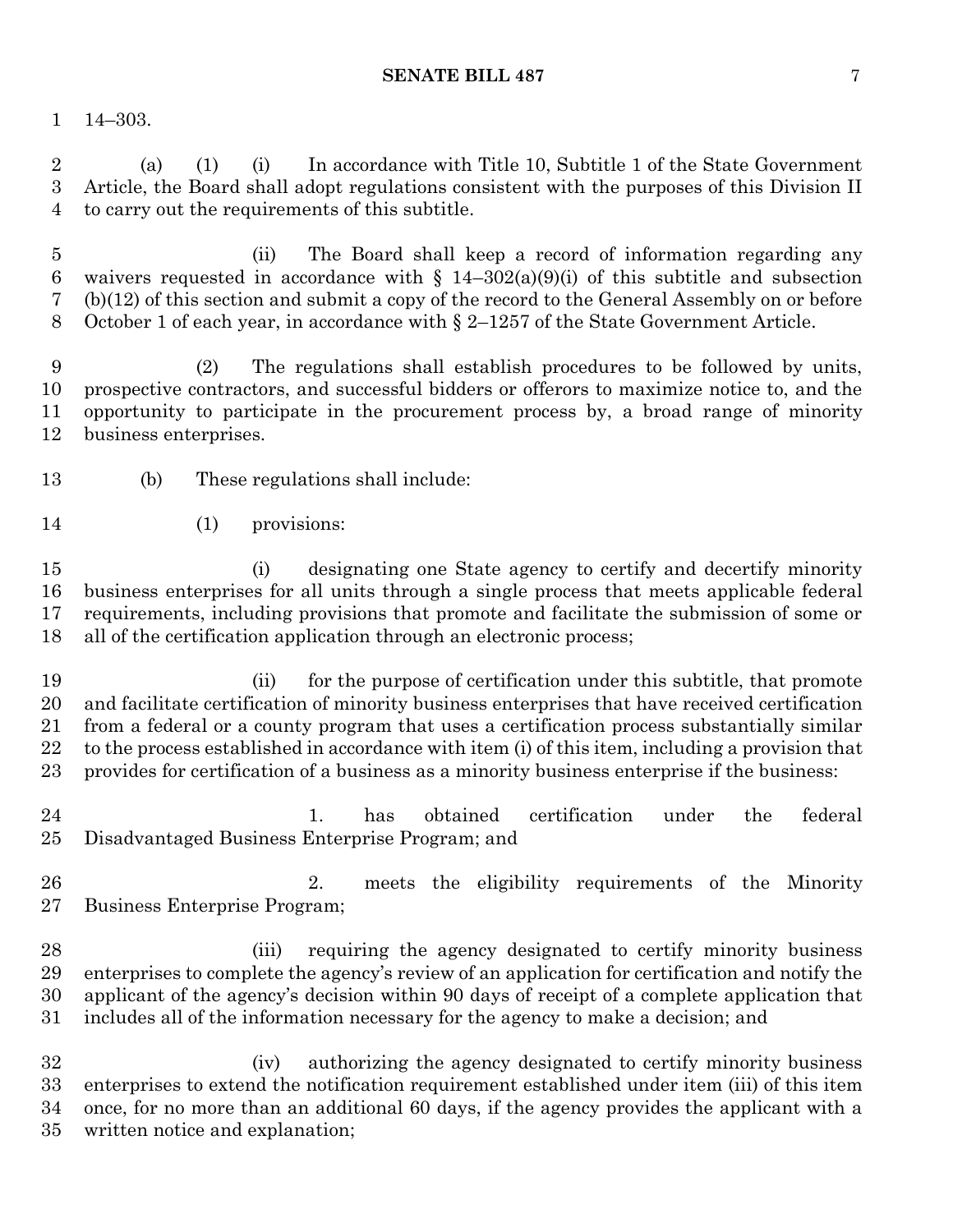14–303.

 (a) (1) (i) In accordance with Title 10, Subtitle 1 of the State Government Article, the Board shall adopt regulations consistent with the purposes of this Division II to carry out the requirements of this subtitle.

 (ii) The Board shall keep a record of information regarding any 6 waivers requested in accordance with  $\S$  14–302(a)(9)(i) of this subtitle and subsection (b)(12) of this section and submit a copy of the record to the General Assembly on or before October 1 of each year, in accordance with § 2–1257 of the State Government Article.

 (2) The regulations shall establish procedures to be followed by units, prospective contractors, and successful bidders or offerors to maximize notice to, and the opportunity to participate in the procurement process by, a broad range of minority business enterprises.

- (b) These regulations shall include:
- (1) provisions:

 (i) designating one State agency to certify and decertify minority business enterprises for all units through a single process that meets applicable federal requirements, including provisions that promote and facilitate the submission of some or all of the certification application through an electronic process;

 (ii) for the purpose of certification under this subtitle, that promote and facilitate certification of minority business enterprises that have received certification from a federal or a county program that uses a certification process substantially similar to the process established in accordance with item (i) of this item, including a provision that provides for certification of a business as a minority business enterprise if the business:

- 1. has obtained certification under the federal Disadvantaged Business Enterprise Program; and
- 2. meets the eligibility requirements of the Minority Business Enterprise Program;
- (iii) requiring the agency designated to certify minority business enterprises to complete the agency's review of an application for certification and notify the applicant of the agency's decision within 90 days of receipt of a complete application that includes all of the information necessary for the agency to make a decision; and

 (iv) authorizing the agency designated to certify minority business enterprises to extend the notification requirement established under item (iii) of this item once, for no more than an additional 60 days, if the agency provides the applicant with a written notice and explanation;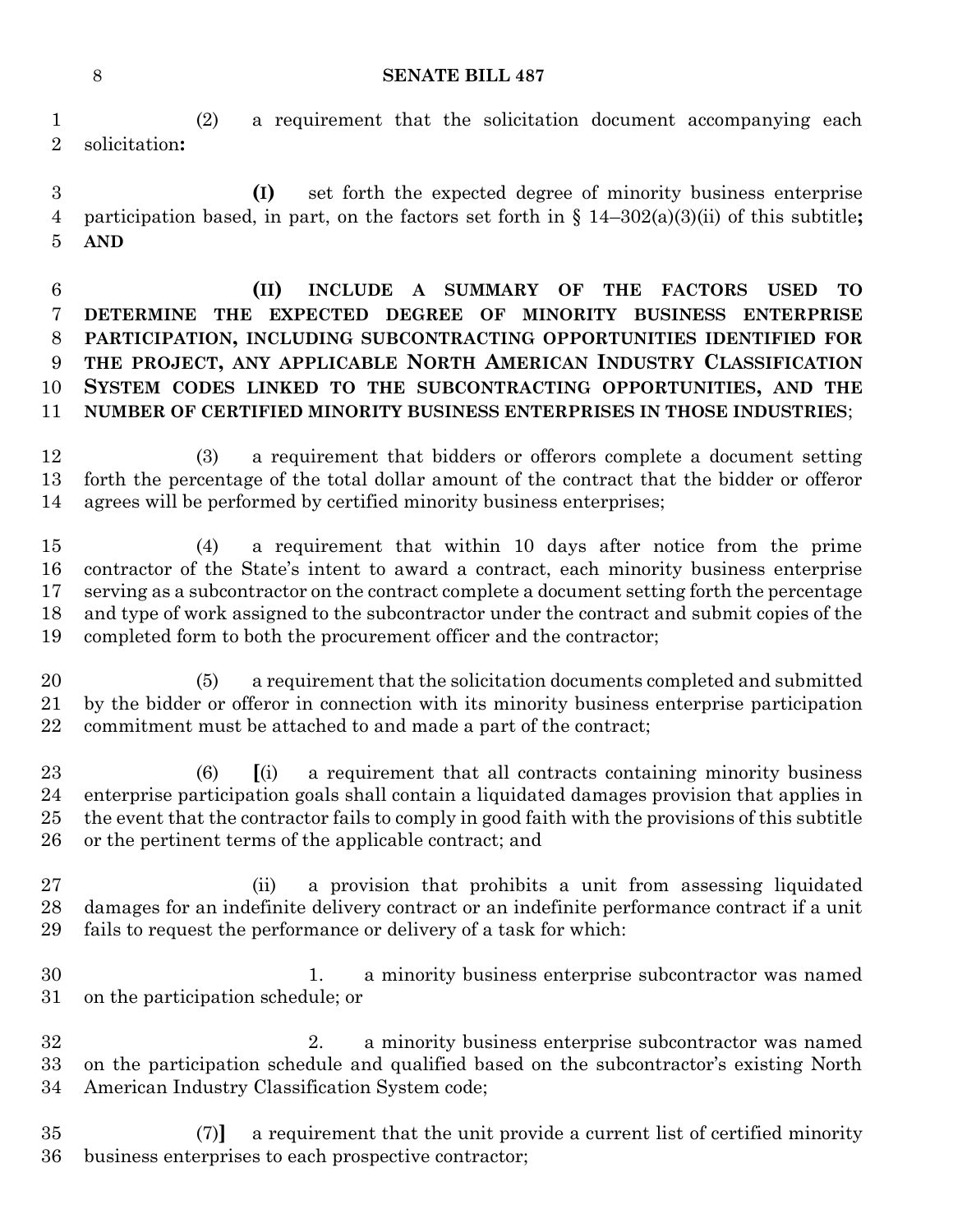(2) a requirement that the solicitation document accompanying each solicitation**:**

 **(I)** set forth the expected degree of minority business enterprise participation based, in part, on the factors set forth in § 14–302(a)(3)(ii) of this subtitle**; AND** 

 **(II) INCLUDE A SUMMARY OF THE FACTORS USED TO DETERMINE THE EXPECTED DEGREE OF MINORITY BUSINESS ENTERPRISE PARTICIPATION, INCLUDING SUBCONTRACTING OPPORTUNITIES IDENTIFIED FOR THE PROJECT, ANY APPLICABLE NORTH AMERICAN INDUSTRY CLASSIFICATION SYSTEM CODES LINKED TO THE SUBCONTRACTING OPPORTUNITIES, AND THE NUMBER OF CERTIFIED MINORITY BUSINESS ENTERPRISES IN THOSE INDUSTRIES**;

 (3) a requirement that bidders or offerors complete a document setting forth the percentage of the total dollar amount of the contract that the bidder or offeror agrees will be performed by certified minority business enterprises;

 (4) a requirement that within 10 days after notice from the prime contractor of the State's intent to award a contract, each minority business enterprise serving as a subcontractor on the contract complete a document setting forth the percentage and type of work assigned to the subcontractor under the contract and submit copies of the completed form to both the procurement officer and the contractor;

 (5) a requirement that the solicitation documents completed and submitted by the bidder or offeror in connection with its minority business enterprise participation commitment must be attached to and made a part of the contract;

 (6) **[**(i) a requirement that all contracts containing minority business enterprise participation goals shall contain a liquidated damages provision that applies in the event that the contractor fails to comply in good faith with the provisions of this subtitle or the pertinent terms of the applicable contract; and

 (ii) a provision that prohibits a unit from assessing liquidated damages for an indefinite delivery contract or an indefinite performance contract if a unit fails to request the performance or delivery of a task for which:

 1. a minority business enterprise subcontractor was named on the participation schedule; or

 2. a minority business enterprise subcontractor was named on the participation schedule and qualified based on the subcontractor's existing North American Industry Classification System code;

 (7)**]** a requirement that the unit provide a current list of certified minority business enterprises to each prospective contractor;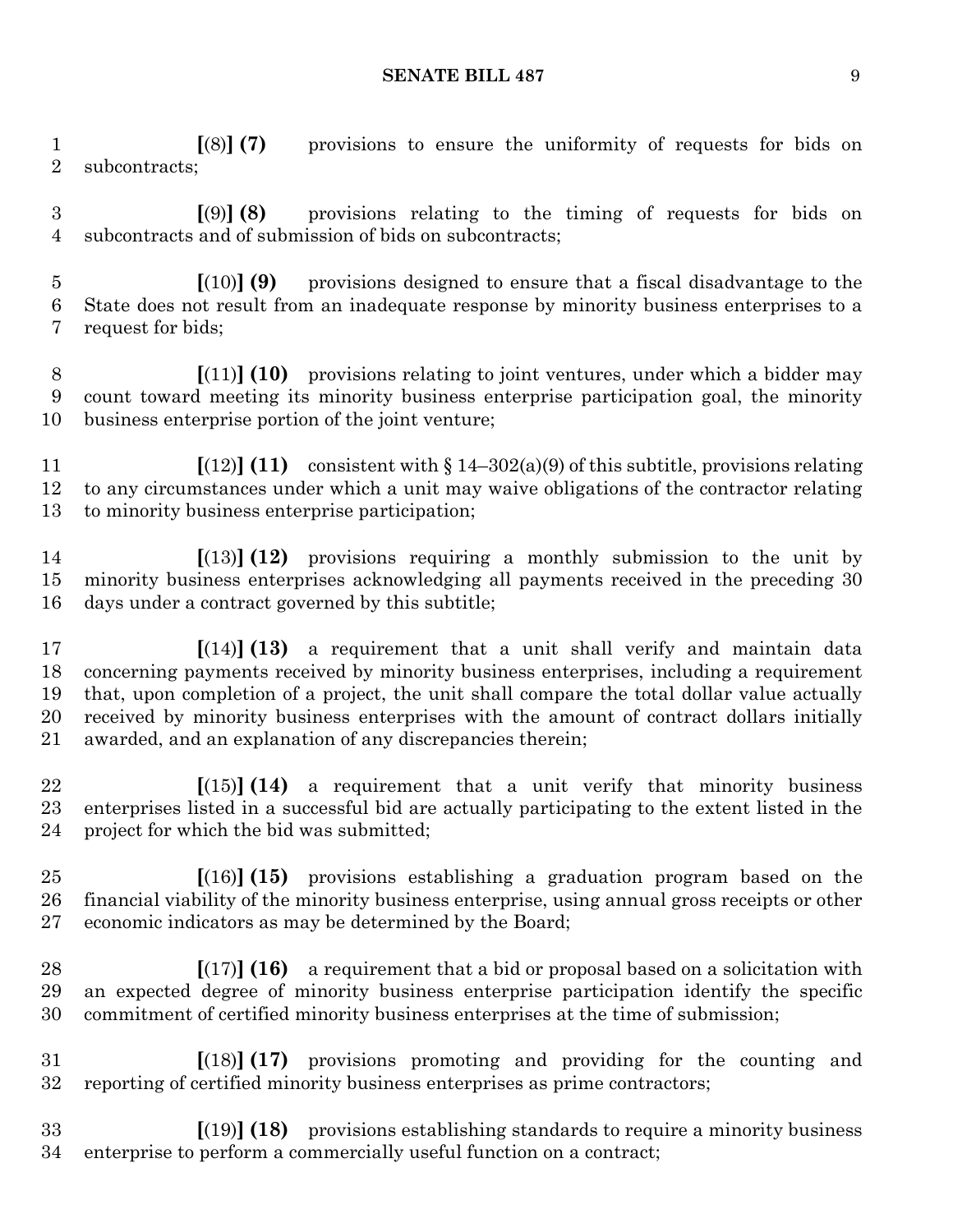**[**(8)**] (7)** provisions to ensure the uniformity of requests for bids on subcontracts;

 **[**(9)**] (8)** provisions relating to the timing of requests for bids on subcontracts and of submission of bids on subcontracts;

 **[**(10)**] (9)** provisions designed to ensure that a fiscal disadvantage to the State does not result from an inadequate response by minority business enterprises to a request for bids;

 **[**(11)**] (10)** provisions relating to joint ventures, under which a bidder may count toward meeting its minority business enterprise participation goal, the minority business enterprise portion of the joint venture;

 **[**(12)**] (11)** consistent with § 14–302(a)(9) of this subtitle, provisions relating to any circumstances under which a unit may waive obligations of the contractor relating to minority business enterprise participation;

 **[**(13)**] (12)** provisions requiring a monthly submission to the unit by minority business enterprises acknowledging all payments received in the preceding 30 days under a contract governed by this subtitle;

 **[**(14)**] (13)** a requirement that a unit shall verify and maintain data concerning payments received by minority business enterprises, including a requirement that, upon completion of a project, the unit shall compare the total dollar value actually received by minority business enterprises with the amount of contract dollars initially awarded, and an explanation of any discrepancies therein;

 **[**(15)**] (14)** a requirement that a unit verify that minority business enterprises listed in a successful bid are actually participating to the extent listed in the project for which the bid was submitted;

 **[**(16)**] (15)** provisions establishing a graduation program based on the financial viability of the minority business enterprise, using annual gross receipts or other economic indicators as may be determined by the Board;

 **[**(17)**] (16)** a requirement that a bid or proposal based on a solicitation with an expected degree of minority business enterprise participation identify the specific commitment of certified minority business enterprises at the time of submission;

 **[**(18)**] (17)** provisions promoting and providing for the counting and reporting of certified minority business enterprises as prime contractors;

 **[**(19)**] (18)** provisions establishing standards to require a minority business enterprise to perform a commercially useful function on a contract;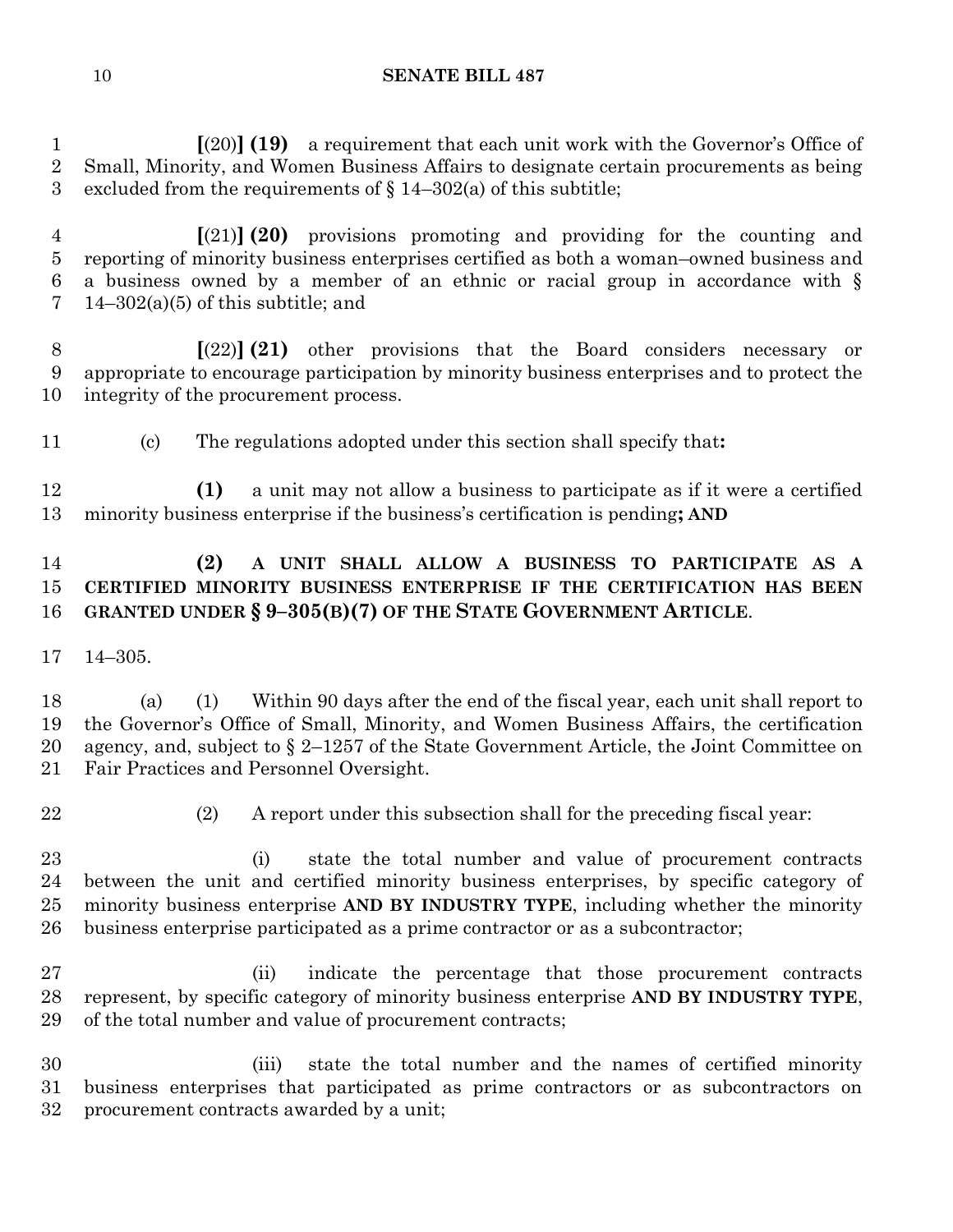**[**(20)**] (19)** a requirement that each unit work with the Governor's Office of Small, Minority, and Women Business Affairs to designate certain procurements as being 3 excluded from the requirements of  $\S 14-302(a)$  of this subtitle;

 **[**(21)**] (20)** provisions promoting and providing for the counting and reporting of minority business enterprises certified as both a woman–owned business and a business owned by a member of an ethnic or racial group in accordance with § 7 14–302(a)(5) of this subtitle; and

 **[**(22)**] (21)** other provisions that the Board considers necessary or appropriate to encourage participation by minority business enterprises and to protect the integrity of the procurement process.

(c) The regulations adopted under this section shall specify that**:**

 **(1)** a unit may not allow a business to participate as if it were a certified minority business enterprise if the business's certification is pending**; AND**

# **(2) A UNIT SHALL ALLOW A BUSINESS TO PARTICIPATE AS A CERTIFIED MINORITY BUSINESS ENTERPRISE IF THE CERTIFICATION HAS BEEN GRANTED UNDER § 9–305(B)(7) OF THE STATE GOVERNMENT ARTICLE**.

14–305.

 (a) (1) Within 90 days after the end of the fiscal year, each unit shall report to the Governor's Office of Small, Minority, and Women Business Affairs, the certification agency, and, subject to § 2–1257 of the State Government Article, the Joint Committee on Fair Practices and Personnel Oversight.

(2) A report under this subsection shall for the preceding fiscal year:

 (i) state the total number and value of procurement contracts between the unit and certified minority business enterprises, by specific category of minority business enterprise **AND BY INDUSTRY TYPE**, including whether the minority business enterprise participated as a prime contractor or as a subcontractor;

 (ii) indicate the percentage that those procurement contracts represent, by specific category of minority business enterprise **AND BY INDUSTRY TYPE**, of the total number and value of procurement contracts;

 (iii) state the total number and the names of certified minority business enterprises that participated as prime contractors or as subcontractors on procurement contracts awarded by a unit;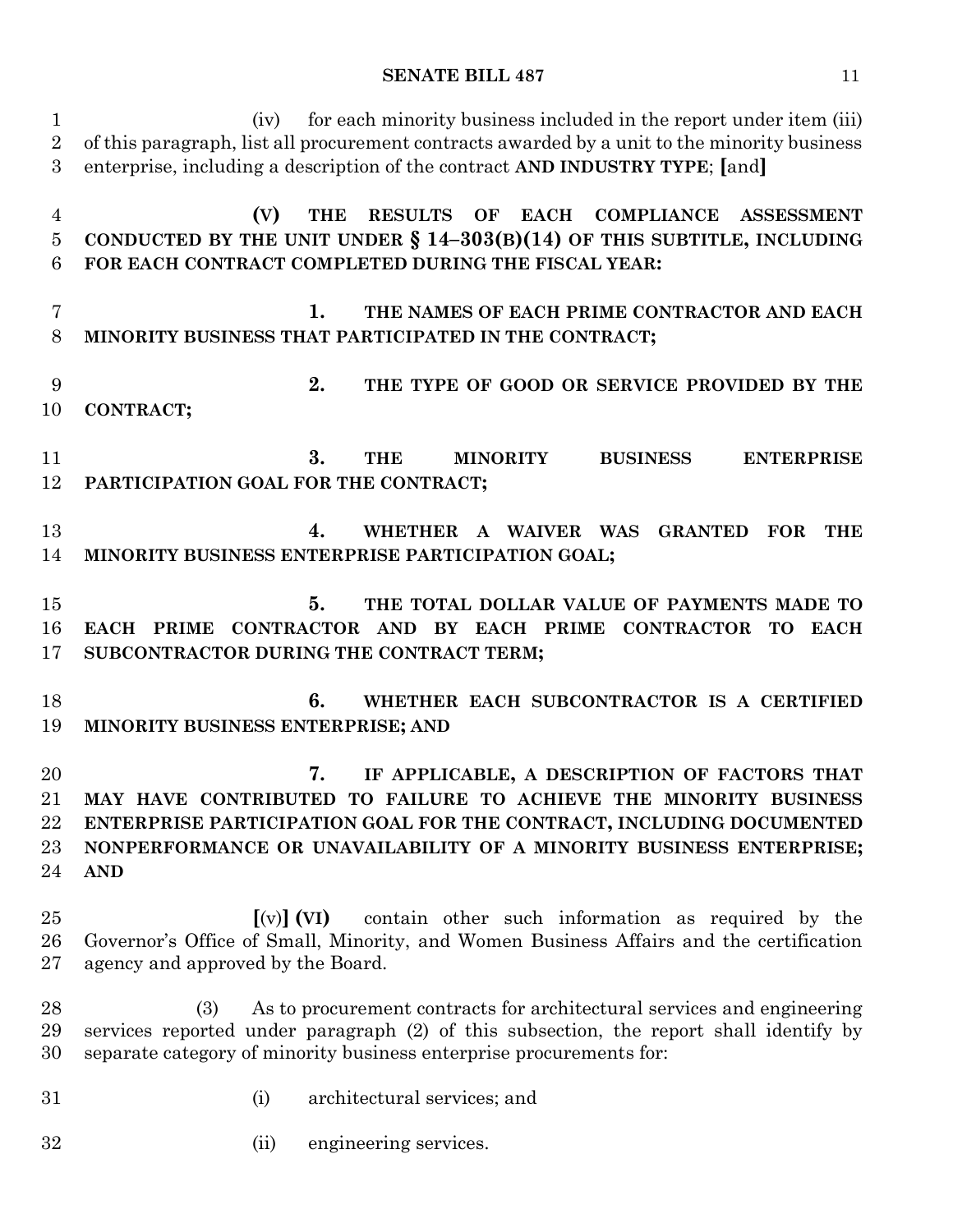| $\mathbf{1}$<br>$\overline{2}$<br>3 | for each minority business included in the report under item (iii)<br>(iv)<br>of this paragraph, list all procurement contracts awarded by a unit to the minority business<br>enterprise, including a description of the contract AND INDUSTRY TYPE; [and]                          |
|-------------------------------------|-------------------------------------------------------------------------------------------------------------------------------------------------------------------------------------------------------------------------------------------------------------------------------------|
| $\overline{4}$<br>$\bf 5$<br>6      | <b>RESULTS</b><br><b>EACH</b><br><b>COMPLIANCE</b><br>(V)<br><b>THE</b><br>OF<br><b>ASSESSMENT</b><br>CONDUCTED BY THE UNIT UNDER $\S$ 14-303(B)(14) OF THIS SUBTITLE, INCLUDING<br>FOR EACH CONTRACT COMPLETED DURING THE FISCAL YEAR:                                             |
| 7<br>8                              | THE NAMES OF EACH PRIME CONTRACTOR AND EACH<br>1.<br>MINORITY BUSINESS THAT PARTICIPATED IN THE CONTRACT;                                                                                                                                                                           |
| 9<br>10                             | 2.<br>THE TYPE OF GOOD OR SERVICE PROVIDED BY THE<br>CONTRACT;                                                                                                                                                                                                                      |
| 11<br>12                            | 3.<br><b>THE</b><br><b>MINORITY</b><br><b>BUSINESS</b><br><b>ENTERPRISE</b><br>PARTICIPATION GOAL FOR THE CONTRACT;                                                                                                                                                                 |
| 13<br>14                            | 4.<br>WHETHER A WAIVER WAS<br><b>GRANTED</b><br><b>FOR</b><br>THE<br>MINORITY BUSINESS ENTERPRISE PARTICIPATION GOAL;                                                                                                                                                               |
| 15<br>16<br>17                      | 5.<br>THE TOTAL DOLLAR VALUE OF PAYMENTS MADE TO<br>EACH PRIME CONTRACTOR AND BY EACH PRIME CONTRACTOR TO EACH<br>SUBCONTRACTOR DURING THE CONTRACT TERM;                                                                                                                           |
| 18<br>19                            | 6.<br>WHETHER EACH SUBCONTRACTOR IS A CERTIFIED<br>MINORITY BUSINESS ENTERPRISE; AND                                                                                                                                                                                                |
| 20<br>21<br>22<br>23<br>24          | IF APPLICABLE, A DESCRIPTION OF FACTORS THAT<br>7.<br>MAY HAVE CONTRIBUTED TO FAILURE TO ACHIEVE THE MINORITY BUSINESS<br>ENTERPRISE PARTICIPATION GOAL FOR THE CONTRACT, INCLUDING DOCUMENTED<br>NONPERFORMANCE OR UNAVAILABILITY OF A MINORITY BUSINESS ENTERPRISE;<br><b>AND</b> |
| 25<br>26<br>27                      | $\left[\text{(v)}\right]$ (VI)<br>contain other such information as required by the<br>Governor's Office of Small, Minority, and Women Business Affairs and the certification<br>agency and approved by the Board.                                                                  |
| 28<br>29<br>30                      | As to procurement contracts for architectural services and engineering<br>(3)<br>services reported under paragraph (2) of this subsection, the report shall identify by<br>separate category of minority business enterprise procurements for:                                      |
| 31                                  | architectural services; and<br>(i)                                                                                                                                                                                                                                                  |
| 32                                  | engineering services.<br>(ii)                                                                                                                                                                                                                                                       |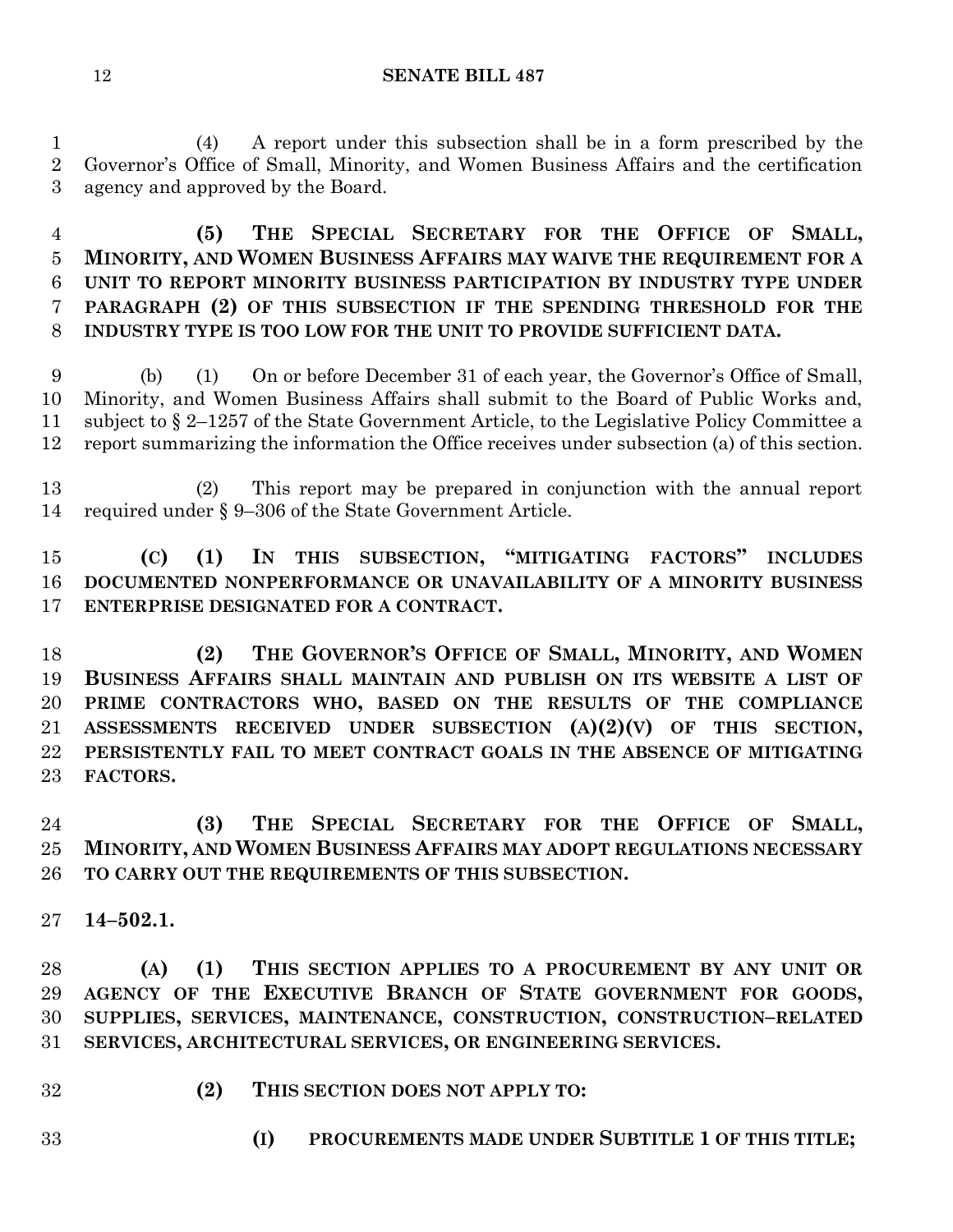(4) A report under this subsection shall be in a form prescribed by the Governor's Office of Small, Minority, and Women Business Affairs and the certification agency and approved by the Board.

 **(5) THE SPECIAL SECRETARY FOR THE OFFICE OF SMALL, MINORITY, AND WOMEN BUSINESS AFFAIRS MAY WAIVE THE REQUIREMENT FOR A UNIT TO REPORT MINORITY BUSINESS PARTICIPATION BY INDUSTRY TYPE UNDER PARAGRAPH (2) OF THIS SUBSECTION IF THE SPENDING THRESHOLD FOR THE INDUSTRY TYPE IS TOO LOW FOR THE UNIT TO PROVIDE SUFFICIENT DATA.**

 (b) (1) On or before December 31 of each year, the Governor's Office of Small, Minority, and Women Business Affairs shall submit to the Board of Public Works and, subject to § 2–1257 of the State Government Article, to the Legislative Policy Committee a report summarizing the information the Office receives under subsection (a) of this section.

 (2) This report may be prepared in conjunction with the annual report required under § 9–306 of the State Government Article.

# **(C) (1) IN THIS SUBSECTION, "MITIGATING FACTORS" INCLUDES DOCUMENTED NONPERFORMANCE OR UNAVAILABILITY OF A MINORITY BUSINESS ENTERPRISE DESIGNATED FOR A CONTRACT.**

 **(2) THE GOVERNOR'S OFFICE OF SMALL, MINORITY, AND WOMEN BUSINESS AFFAIRS SHALL MAINTAIN AND PUBLISH ON ITS WEBSITE A LIST OF PRIME CONTRACTORS WHO, BASED ON THE RESULTS OF THE COMPLIANCE ASSESSMENTS RECEIVED UNDER SUBSECTION (A)(2)(V) OF THIS SECTION, PERSISTENTLY FAIL TO MEET CONTRACT GOALS IN THE ABSENCE OF MITIGATING FACTORS.**

 **(3) THE SPECIAL SECRETARY FOR THE OFFICE OF SMALL, MINORITY, AND WOMEN BUSINESS AFFAIRS MAY ADOPT REGULATIONS NECESSARY TO CARRY OUT THE REQUIREMENTS OF THIS SUBSECTION.**

**14–502.1.**

 **(A) (1) THIS SECTION APPLIES TO A PROCUREMENT BY ANY UNIT OR AGENCY OF THE EXECUTIVE BRANCH OF STATE GOVERNMENT FOR GOODS, SUPPLIES, SERVICES, MAINTENANCE, CONSTRUCTION, CONSTRUCTION–RELATED SERVICES, ARCHITECTURAL SERVICES, OR ENGINEERING SERVICES.**

- **(2) THIS SECTION DOES NOT APPLY TO:**
- 
- **(I) PROCUREMENTS MADE UNDER SUBTITLE 1 OF THIS TITLE;**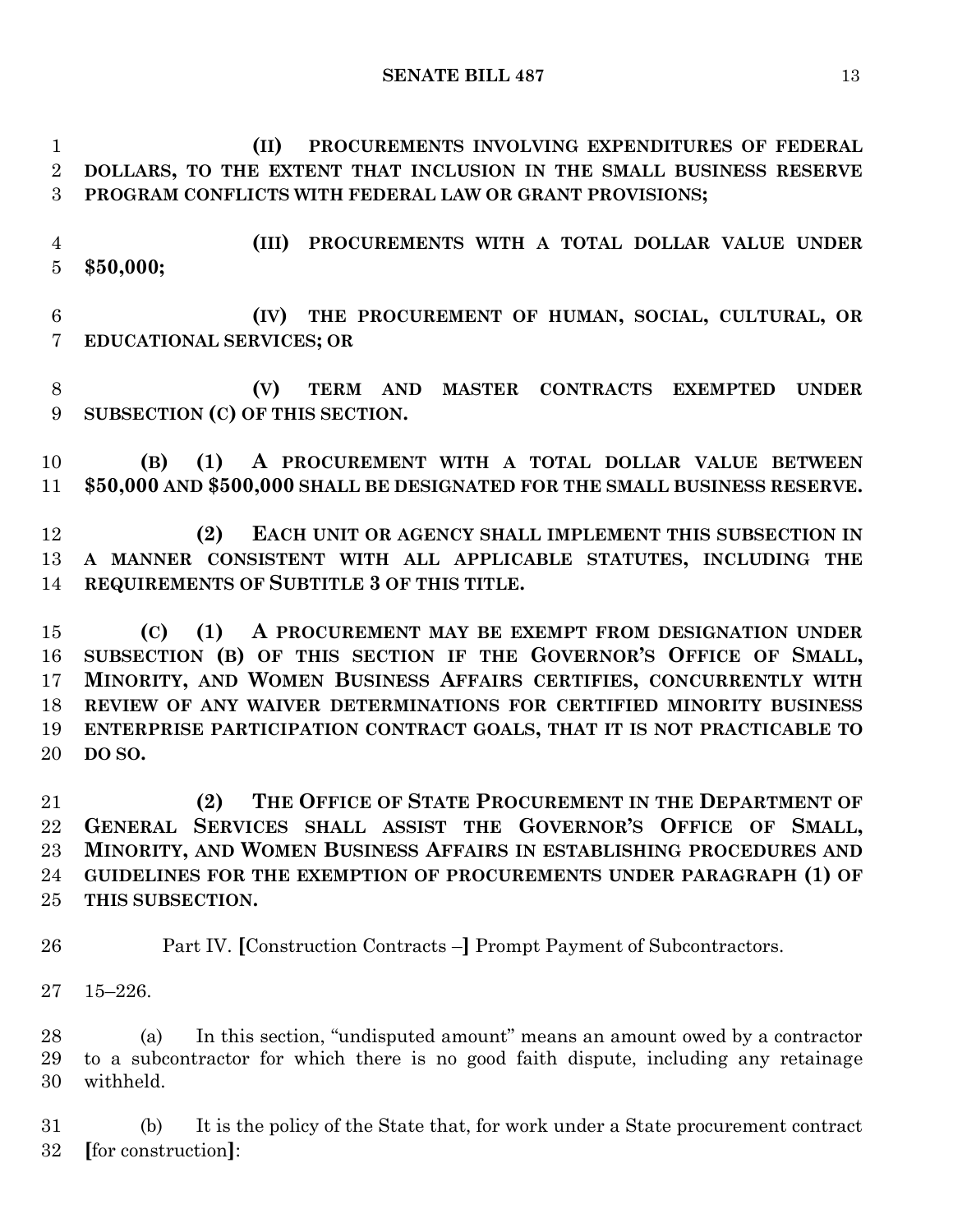**(II) PROCUREMENTS INVOLVING EXPENDITURES OF FEDERAL DOLLARS, TO THE EXTENT THAT INCLUSION IN THE SMALL BUSINESS RESERVE PROGRAM CONFLICTS WITH FEDERAL LAW OR GRANT PROVISIONS;**

 **(III) PROCUREMENTS WITH A TOTAL DOLLAR VALUE UNDER \$50,000;**

 **(IV) THE PROCUREMENT OF HUMAN, SOCIAL, CULTURAL, OR EDUCATIONAL SERVICES; OR**

 **(V) TERM AND MASTER CONTRACTS EXEMPTED UNDER SUBSECTION (C) OF THIS SECTION.**

 **(B) (1) A PROCUREMENT WITH A TOTAL DOLLAR VALUE BETWEEN \$50,000 AND \$500,000 SHALL BE DESIGNATED FOR THE SMALL BUSINESS RESERVE.**

 **(2) EACH UNIT OR AGENCY SHALL IMPLEMENT THIS SUBSECTION IN A MANNER CONSISTENT WITH ALL APPLICABLE STATUTES, INCLUDING THE REQUIREMENTS OF SUBTITLE 3 OF THIS TITLE.**

 **(C) (1) A PROCUREMENT MAY BE EXEMPT FROM DESIGNATION UNDER SUBSECTION (B) OF THIS SECTION IF THE GOVERNOR'S OFFICE OF SMALL, MINORITY, AND WOMEN BUSINESS AFFAIRS CERTIFIES, CONCURRENTLY WITH REVIEW OF ANY WAIVER DETERMINATIONS FOR CERTIFIED MINORITY BUSINESS ENTERPRISE PARTICIPATION CONTRACT GOALS, THAT IT IS NOT PRACTICABLE TO DO SO.**

 **(2) THE OFFICE OF STATE PROCUREMENT IN THE DEPARTMENT OF GENERAL SERVICES SHALL ASSIST THE GOVERNOR'S OFFICE OF SMALL, MINORITY, AND WOMEN BUSINESS AFFAIRS IN ESTABLISHING PROCEDURES AND GUIDELINES FOR THE EXEMPTION OF PROCUREMENTS UNDER PARAGRAPH (1) OF THIS SUBSECTION.**

Part IV. **[**Construction Contracts –**]** Prompt Payment of Subcontractors.

15–226.

 (a) In this section, "undisputed amount" means an amount owed by a contractor to a subcontractor for which there is no good faith dispute, including any retainage withheld.

 (b) It is the policy of the State that, for work under a State procurement contract **[**for construction**]**: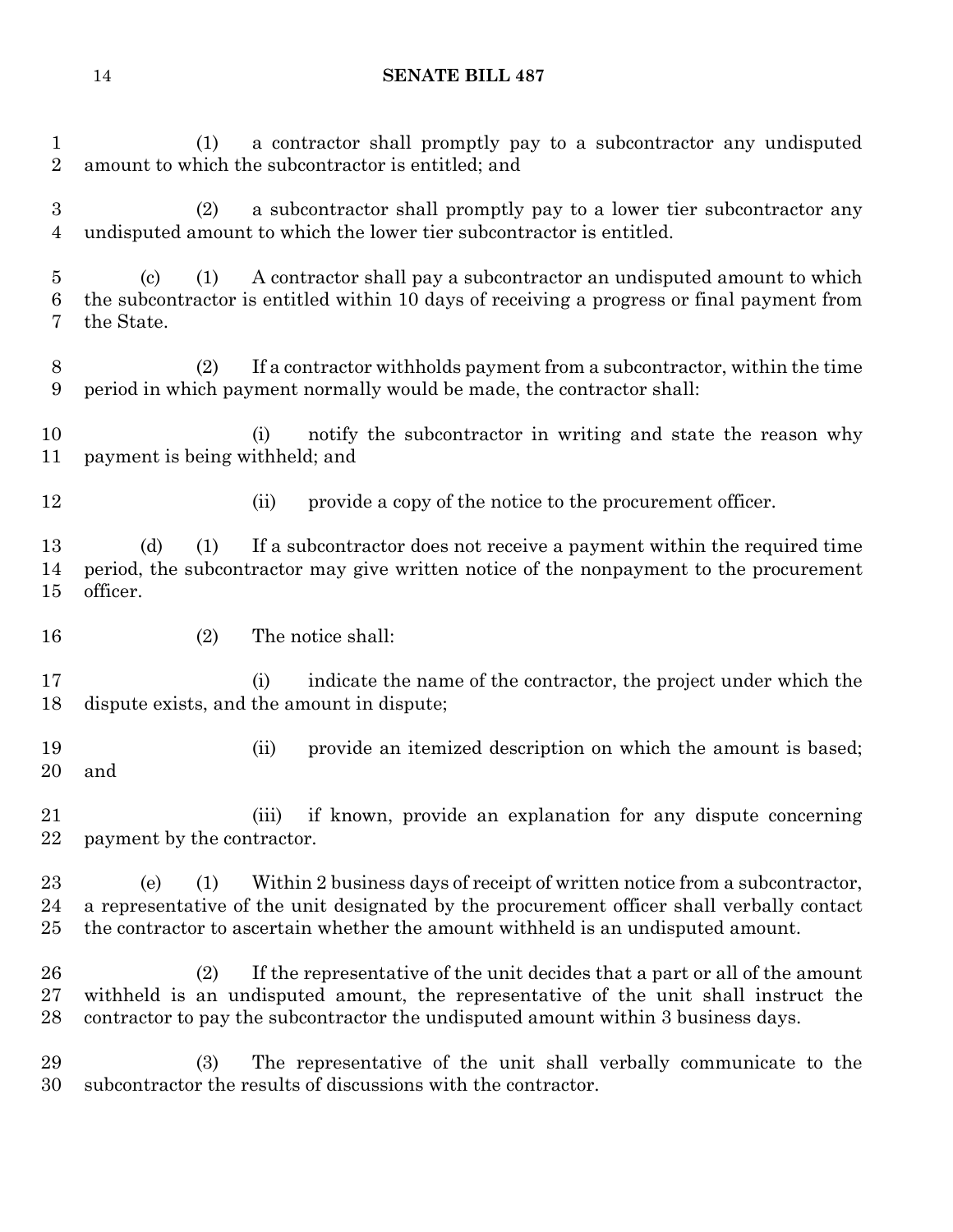(1) a contractor shall promptly pay to a subcontractor any undisputed amount to which the subcontractor is entitled; and (2) a subcontractor shall promptly pay to a lower tier subcontractor any undisputed amount to which the lower tier subcontractor is entitled. (c) (1) A contractor shall pay a subcontractor an undisputed amount to which the subcontractor is entitled within 10 days of receiving a progress or final payment from the State. (2) If a contractor withholds payment from a subcontractor, within the time period in which payment normally would be made, the contractor shall: 10 (i) notify the subcontractor in writing and state the reason why payment is being withheld; and 12 (ii) provide a copy of the notice to the procurement officer. (d) (1) If a subcontractor does not receive a payment within the required time period, the subcontractor may give written notice of the nonpayment to the procurement officer. (2) The notice shall: (i) indicate the name of the contractor, the project under which the dispute exists, and the amount in dispute; 19 (ii) provide an itemized description on which the amount is based; and (iii) if known, provide an explanation for any dispute concerning payment by the contractor. (e) (1) Within 2 business days of receipt of written notice from a subcontractor, a representative of the unit designated by the procurement officer shall verbally contact the contractor to ascertain whether the amount withheld is an undisputed amount. (2) If the representative of the unit decides that a part or all of the amount withheld is an undisputed amount, the representative of the unit shall instruct the contractor to pay the subcontractor the undisputed amount within 3 business days.

 (3) The representative of the unit shall verbally communicate to the subcontractor the results of discussions with the contractor.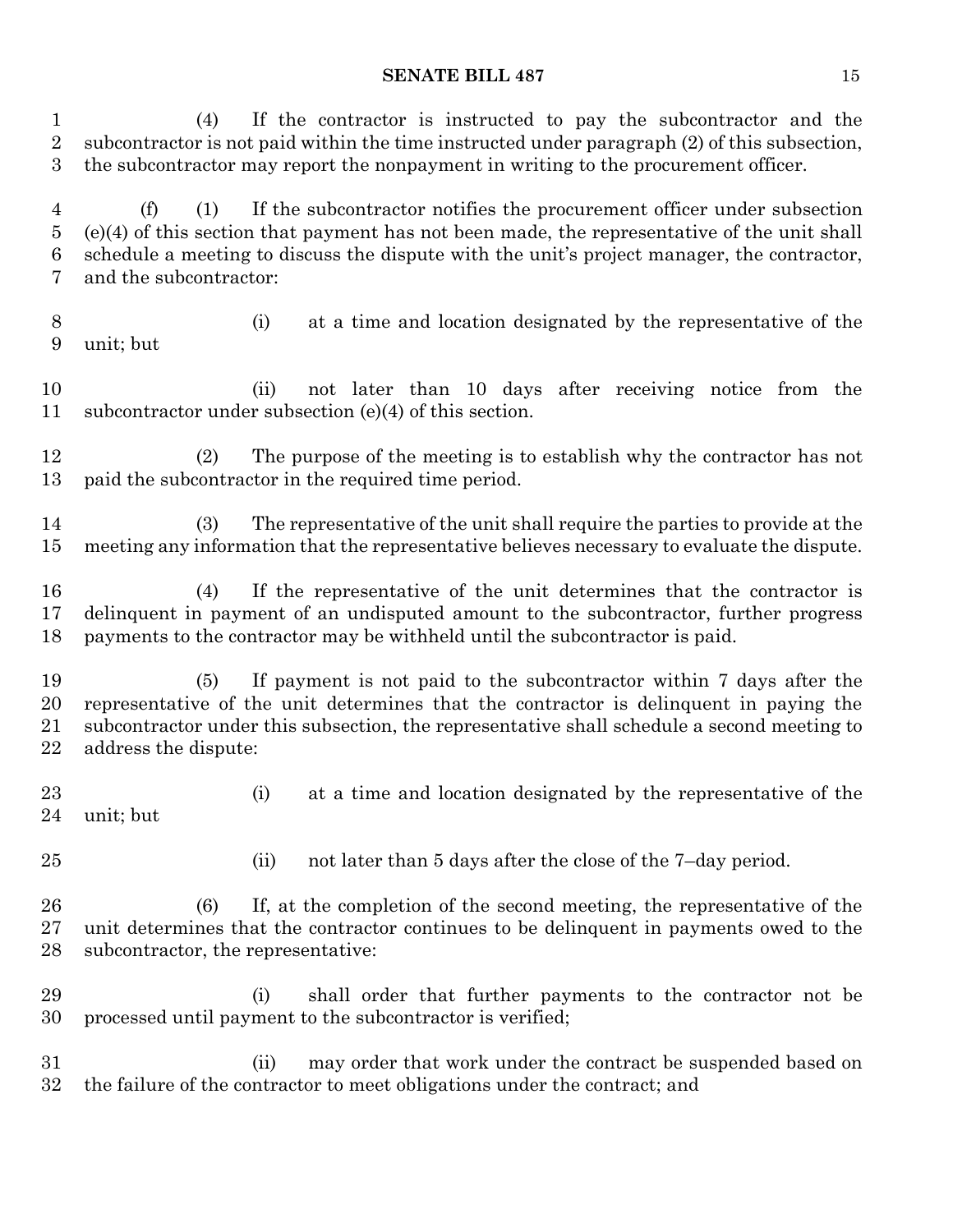(4) If the contractor is instructed to pay the subcontractor and the subcontractor is not paid within the time instructed under paragraph (2) of this subsection, the subcontractor may report the nonpayment in writing to the procurement officer. (f) (1) If the subcontractor notifies the procurement officer under subsection (e)(4) of this section that payment has not been made, the representative of the unit shall schedule a meeting to discuss the dispute with the unit's project manager, the contractor, and the subcontractor: (i) at a time and location designated by the representative of the unit; but (ii) not later than 10 days after receiving notice from the subcontractor under subsection (e)(4) of this section. (2) The purpose of the meeting is to establish why the contractor has not paid the subcontractor in the required time period. (3) The representative of the unit shall require the parties to provide at the meeting any information that the representative believes necessary to evaluate the dispute.

 (4) If the representative of the unit determines that the contractor is delinquent in payment of an undisputed amount to the subcontractor, further progress payments to the contractor may be withheld until the subcontractor is paid.

 (5) If payment is not paid to the subcontractor within 7 days after the representative of the unit determines that the contractor is delinquent in paying the subcontractor under this subsection, the representative shall schedule a second meeting to address the dispute:

- (i) at a time and location designated by the representative of the unit; but
- 
- 25 (ii) not later than 5 days after the close of the 7-day period.

 (6) If, at the completion of the second meeting, the representative of the unit determines that the contractor continues to be delinquent in payments owed to the subcontractor, the representative:

 (i) shall order that further payments to the contractor not be processed until payment to the subcontractor is verified;

 (ii) may order that work under the contract be suspended based on the failure of the contractor to meet obligations under the contract; and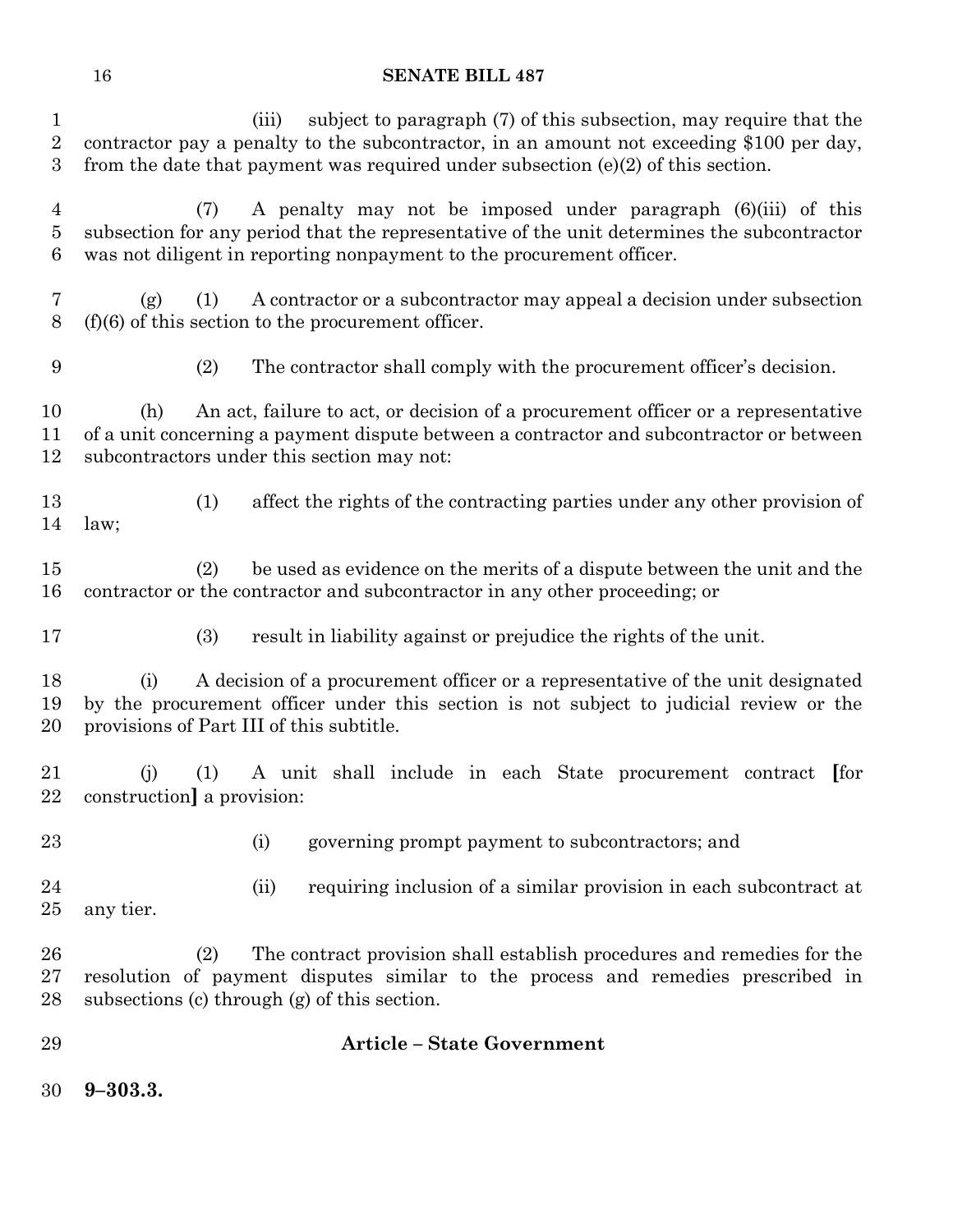(iii) subject to paragraph (7) of this subsection, may require that the contractor pay a penalty to the subcontractor, in an amount not exceeding \$100 per day, from the date that payment was required under subsection (e)(2) of this section. (7) A penalty may not be imposed under paragraph (6)(iii) of this subsection for any period that the representative of the unit determines the subcontractor was not diligent in reporting nonpayment to the procurement officer. (g) (1) A contractor or a subcontractor may appeal a decision under subsection (f)(6) of this section to the procurement officer. (2) The contractor shall comply with the procurement officer's decision. (h) An act, failure to act, or decision of a procurement officer or a representative of a unit concerning a payment dispute between a contractor and subcontractor or between subcontractors under this section may not: (1) affect the rights of the contracting parties under any other provision of law; (2) be used as evidence on the merits of a dispute between the unit and the contractor or the contractor and subcontractor in any other proceeding; or (3) result in liability against or prejudice the rights of the unit. (i) A decision of a procurement officer or a representative of the unit designated by the procurement officer under this section is not subject to judicial review or the provisions of Part III of this subtitle. (j) (1) A unit shall include in each State procurement contract **[**for construction**]** a provision: (i) governing prompt payment to subcontractors; and (ii) requiring inclusion of a similar provision in each subcontract at any tier. (2) The contract provision shall establish procedures and remedies for the resolution of payment disputes similar to the process and remedies prescribed in subsections (c) through (g) of this section. **Article – State Government 9–303.3.**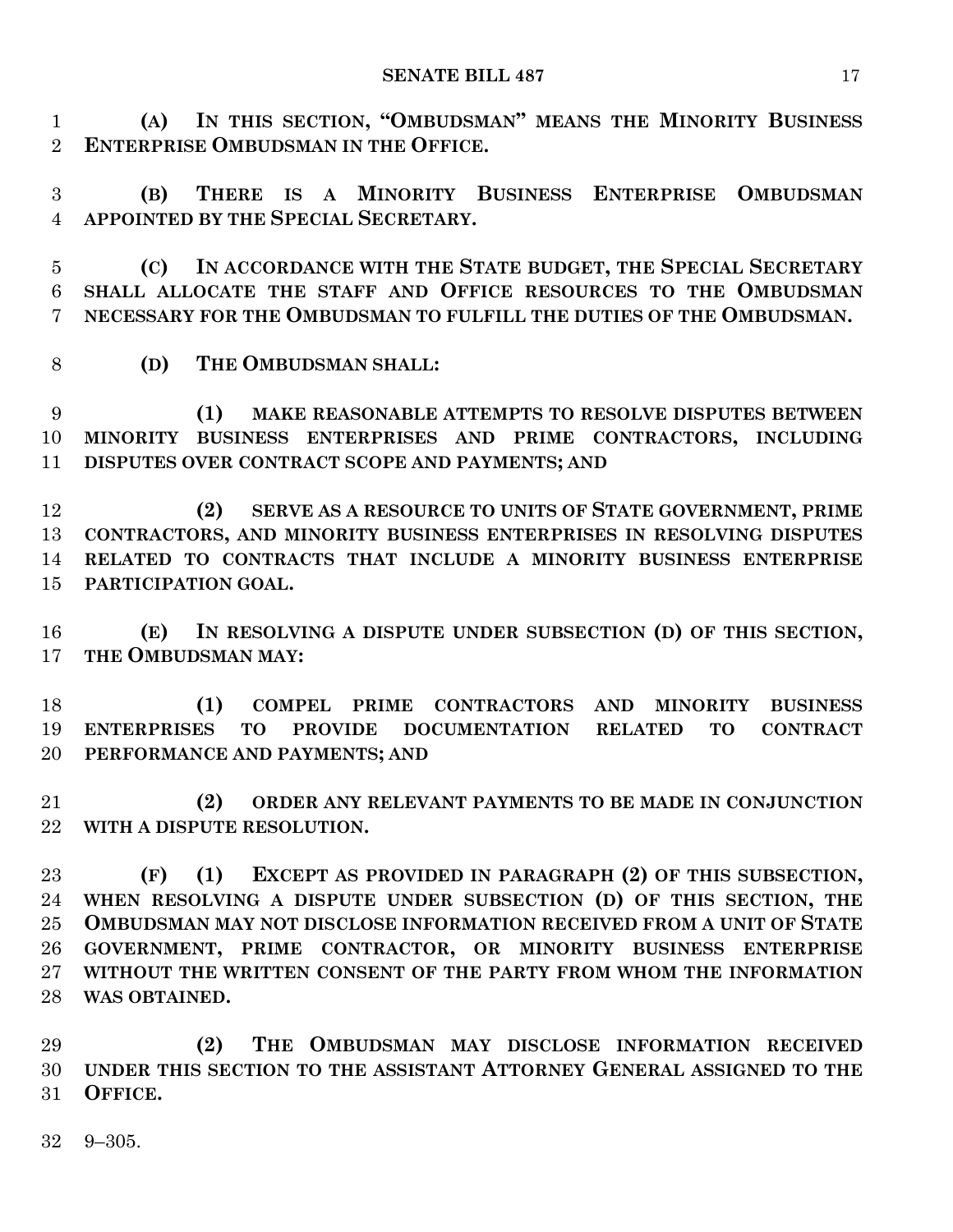**(A) IN THIS SECTION, "OMBUDSMAN" MEANS THE MINORITY BUSINESS ENTERPRISE OMBUDSMAN IN THE OFFICE.**

 **(B) THERE IS A MINORITY BUSINESS ENTERPRISE OMBUDSMAN APPOINTED BY THE SPECIAL SECRETARY.**

 **(C) IN ACCORDANCE WITH THE STATE BUDGET, THE SPECIAL SECRETARY SHALL ALLOCATE THE STAFF AND OFFICE RESOURCES TO THE OMBUDSMAN NECESSARY FOR THE OMBUDSMAN TO FULFILL THE DUTIES OF THE OMBUDSMAN.**

**(D) THE OMBUDSMAN SHALL:**

 **(1) MAKE REASONABLE ATTEMPTS TO RESOLVE DISPUTES BETWEEN MINORITY BUSINESS ENTERPRISES AND PRIME CONTRACTORS, INCLUDING DISPUTES OVER CONTRACT SCOPE AND PAYMENTS; AND**

 **(2) SERVE AS A RESOURCE TO UNITS OF STATE GOVERNMENT, PRIME CONTRACTORS, AND MINORITY BUSINESS ENTERPRISES IN RESOLVING DISPUTES RELATED TO CONTRACTS THAT INCLUDE A MINORITY BUSINESS ENTERPRISE PARTICIPATION GOAL.**

 **(E) IN RESOLVING A DISPUTE UNDER SUBSECTION (D) OF THIS SECTION, THE OMBUDSMAN MAY:**

 **(1) COMPEL PRIME CONTRACTORS AND MINORITY BUSINESS ENTERPRISES TO PROVIDE DOCUMENTATION RELATED TO CONTRACT PERFORMANCE AND PAYMENTS; AND**

 **(2) ORDER ANY RELEVANT PAYMENTS TO BE MADE IN CONJUNCTION WITH A DISPUTE RESOLUTION.**

 **(F) (1) EXCEPT AS PROVIDED IN PARAGRAPH (2) OF THIS SUBSECTION, WHEN RESOLVING A DISPUTE UNDER SUBSECTION (D) OF THIS SECTION, THE OMBUDSMAN MAY NOT DISCLOSE INFORMATION RECEIVED FROM A UNIT OF STATE GOVERNMENT, PRIME CONTRACTOR, OR MINORITY BUSINESS ENTERPRISE WITHOUT THE WRITTEN CONSENT OF THE PARTY FROM WHOM THE INFORMATION WAS OBTAINED.**

 **(2) THE OMBUDSMAN MAY DISCLOSE INFORMATION RECEIVED UNDER THIS SECTION TO THE ASSISTANT ATTORNEY GENERAL ASSIGNED TO THE OFFICE.**

9–305.